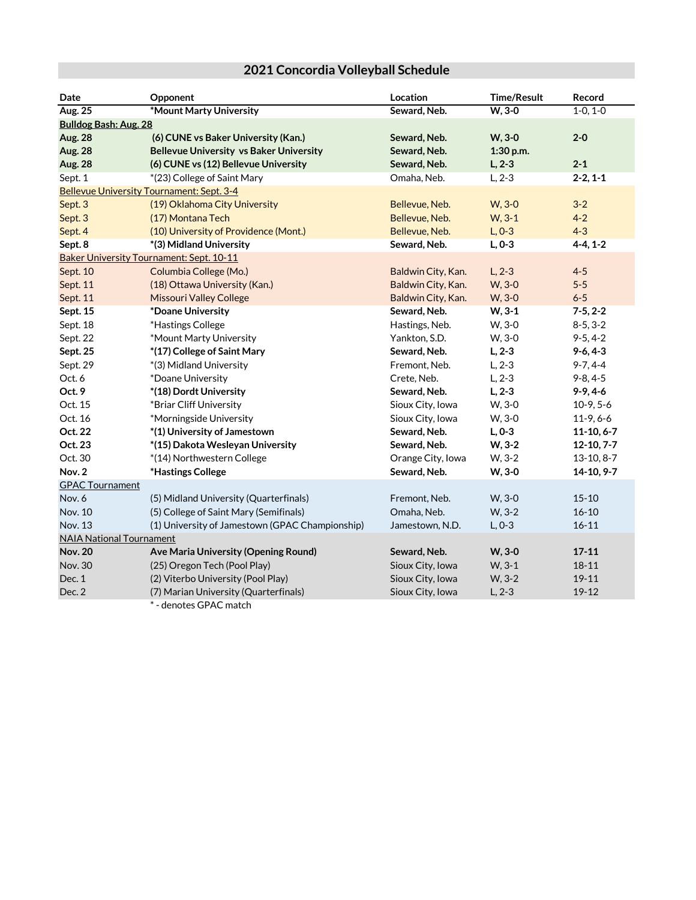## **2021 Concordia Volleyball Schedule**

| Date                                            | <b>Opponent</b>                                 | Location           | <b>Time/Result</b> | Record         |  |
|-------------------------------------------------|-------------------------------------------------|--------------------|--------------------|----------------|--|
| Aug. 25                                         | *Mount Marty University                         | Seward, Neb.       | $W, 3-0$           | $1-0, 1-0$     |  |
| <b>Bulldog Bash: Aug. 28</b>                    |                                                 |                    |                    |                |  |
| <b>Aug. 28</b>                                  | (6) CUNE vs Baker University (Kan.)             | Seward, Neb.       | $W, 3-0$           | $2 - 0$        |  |
| <b>Aug. 28</b>                                  | <b>Bellevue University vs Baker University</b>  | Seward, Neb.       | 1:30 p.m.          |                |  |
| <b>Aug. 28</b>                                  | (6) CUNE vs (12) Bellevue University            | Seward, Neb.       | $L, 2-3$           | $2 - 1$        |  |
| Sept. 1                                         | *(23) College of Saint Mary                     | Omaha, Neb.        | $L, 2-3$           | $2-2, 1-1$     |  |
| Bellevue University Tournament: Sept. 3-4       |                                                 |                    |                    |                |  |
| Sept. 3                                         | (19) Oklahoma City University                   | Bellevue, Neb.     | W, 3-0             | $3 - 2$        |  |
| Sept. 3                                         | (17) Montana Tech                               | Bellevue, Neb.     | $W, 3-1$           | $4 - 2$        |  |
| Sept. 4                                         | (10) University of Providence (Mont.)           | Bellevue, Neb.     | $L, 0-3$           | $4 - 3$        |  |
| Sept. 8                                         | *(3) Midland University                         | Seward, Neb.       | $L, 0-3$           | $4-4, 1-2$     |  |
| <b>Baker University Tournament: Sept. 10-11</b> |                                                 |                    |                    |                |  |
| Sept. 10                                        | Columbia College (Mo.)                          | Baldwin City, Kan. | $L, 2-3$           | $4 - 5$        |  |
| Sept. 11                                        | (18) Ottawa University (Kan.)                   | Baldwin City, Kan. | W, 3-0             | $5 - 5$        |  |
| Sept. 11                                        | <b>Missouri Valley College</b>                  | Baldwin City, Kan. | W, 3-0             | $6 - 5$        |  |
| Sept. 15                                        | *Doane University                               | Seward, Neb.       | $W, 3-1$           | $7-5, 2-2$     |  |
| Sept. 18                                        | *Hastings College                               | Hastings, Neb.     | W, 3-0             | $8-5, 3-2$     |  |
| Sept. 22                                        | *Mount Marty University                         | Yankton, S.D.      | W, 3-0             | $9 - 5, 4 - 2$ |  |
| Sept. 25                                        | *(17) College of Saint Mary                     | Seward, Neb.       | $L, 2-3$           | $9-6, 4-3$     |  |
| Sept. 29                                        | *(3) Midland University                         | Fremont, Neb.      | $L, 2-3$           | $9 - 7, 4 - 4$ |  |
| Oct. 6                                          | *Doane University                               | Crete, Neb.        | $L, 2-3$           | $9 - 8, 4 - 5$ |  |
| Oct. 9                                          | *(18) Dordt University                          | Seward, Neb.       | $L, 2-3$           | $9-9, 4-6$     |  |
| Oct. 15                                         | *Briar Cliff University                         | Sioux City, Iowa   | W, 3-0             | $10-9, 5-6$    |  |
| Oct. 16                                         | *Morningside University                         | Sioux City, Iowa   | W, 3-0             | $11-9, 6-6$    |  |
| Oct. 22                                         | *(1) University of Jamestown                    | Seward, Neb.       | $L, 0-3$           | $11-10, 6-7$   |  |
| Oct. 23                                         | *(15) Dakota Wesleyan University                | Seward, Neb.       | $W, 3-2$           | $12-10, 7-7$   |  |
| Oct. 30                                         | *(14) Northwestern College                      | Orange City, Iowa  | W, 3-2             | $13-10, 8-7$   |  |
| Nov. 2                                          | *Hastings College                               | Seward, Neb.       | W, 3-0             | 14-10, 9-7     |  |
| <b>GPAC Tournament</b>                          |                                                 |                    |                    |                |  |
| Nov. 6                                          | (5) Midland University (Quarterfinals)          | Fremont, Neb.      | W, 3-0             | $15 - 10$      |  |
| Nov. 10                                         | (5) College of Saint Mary (Semifinals)          | Omaha, Neb.        | W, 3-2             | $16 - 10$      |  |
| Nov. 13                                         | (1) University of Jamestown (GPAC Championship) | Jamestown, N.D.    | $L, 0-3$           | $16 - 11$      |  |
|                                                 | <b>NAIA National Tournament</b>                 |                    |                    |                |  |
| <b>Nov. 20</b>                                  | Ave Maria University (Opening Round)            | Seward, Neb.       | W, 3-0             | $17 - 11$      |  |
| Nov. 30                                         | (25) Oregon Tech (Pool Play)                    | Sioux City, Iowa   | $W, 3-1$           | $18 - 11$      |  |
| Dec. 1                                          | (2) Viterbo University (Pool Play)              | Sioux City, Iowa   | W, 3-2             | 19-11          |  |
| Dec. 2                                          | (7) Marian University (Quarterfinals)           | Sioux City, Iowa   | $L, 2-3$           | 19-12          |  |
|                                                 | $\sim$ $\sim$ $\sim$                            |                    |                    |                |  |

\* - denotes GPAC match